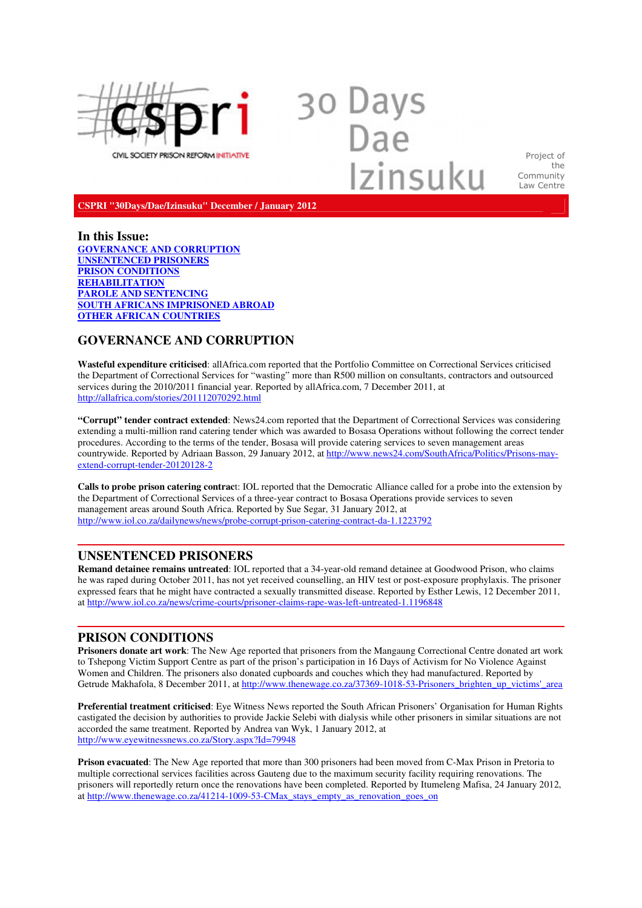

30 Days<br>Dae Izinsuku

Project of the Community Law Centre

**CSPRI "30Days/Dae/Izinsuku" December / January 2012**

# **In this Issue:**

**GOVERNANCE AND CORRUPTION UNSENTENCED PRISONERS PRISON CONDITIONS REHABILITATION PAROLE AND SENTENCING SOUTH AFRICANS IMPRISONED ABROAD OTHER AFRICAN COUNTRIES** 

# **GOVERNANCE AND CORRUPTION**

**Wasteful expenditure criticised**: allAfrica.com reported that the Portfolio Committee on Correctional Services criticised the Department of Correctional Services for "wasting" more than R500 million on consultants, contractors and outsourced services during the 2010/2011 financial year. Reported by allAfrica.com, 7 December 2011, at http://allafrica.com/stories/201112070292.html

**"Corrupt" tender contract extended**: News24.com reported that the Department of Correctional Services was considering extending a multi-million rand catering tender which was awarded to Bosasa Operations without following the correct tender procedures. According to the terms of the tender, Bosasa will provide catering services to seven management areas countrywide. Reported by Adriaan Basson, 29 January 2012, at http://www.news24.com/SouthAfrica/Politics/Prisons-mayextend-corrupt-tender-20120128-2

**Calls to probe prison catering contrac**t: IOL reported that the Democratic Alliance called for a probe into the extension by the Department of Correctional Services of a three-year contract to Bosasa Operations provide services to seven management areas around South Africa. Reported by Sue Segar, 31 January 2012, at http://www.iol.co.za/dailynews/news/probe-corrupt-prison-catering-contract-da-1.1223792

# **UNSENTENCED PRISONERS**

**Remand detainee remains untreated**: IOL reported that a 34-year-old remand detainee at Goodwood Prison, who claims he was raped during October 2011, has not yet received counselling, an HIV test or post-exposure prophylaxis. The prisoner expressed fears that he might have contracted a sexually transmitted disease. Reported by Esther Lewis, 12 December 2011, at http://www.iol.co.za/news/crime-courts/prisoner-claims-rape-was-left-untreated-1.1196848

# **PRISON CONDITIONS**

**Prisoners donate art work**: The New Age reported that prisoners from the Mangaung Correctional Centre donated art work to Tshepong Victim Support Centre as part of the prison's participation in 16 Days of Activism for No Violence Against Women and Children. The prisoners also donated cupboards and couches which they had manufactured. Reported by Getrude Makhafola, 8 December 2011, at http://www.thenewage.co.za/37369-1018-53-Prisoners\_brighten\_up\_victims'\_area

**Preferential treatment criticised**: Eye Witness News reported the South African Prisoners' Organisation for Human Rights castigated the decision by authorities to provide Jackie Selebi with dialysis while other prisoners in similar situations are not accorded the same treatment. Reported by Andrea van Wyk, 1 January 2012, at http://www.eyewitnessnews.co.za/Story.aspx?Id=79948

**Prison evacuated**: The New Age reported that more than 300 prisoners had been moved from C-Max Prison in Pretoria to multiple correctional services facilities across Gauteng due to the maximum security facility requiring renovations. The prisoners will reportedly return once the renovations have been completed. Reported by Itumeleng Mafisa, 24 January 2012, at http://www.thenewage.co.za/41214-1009-53-CMax\_stays\_empty\_as\_renovation\_goes\_on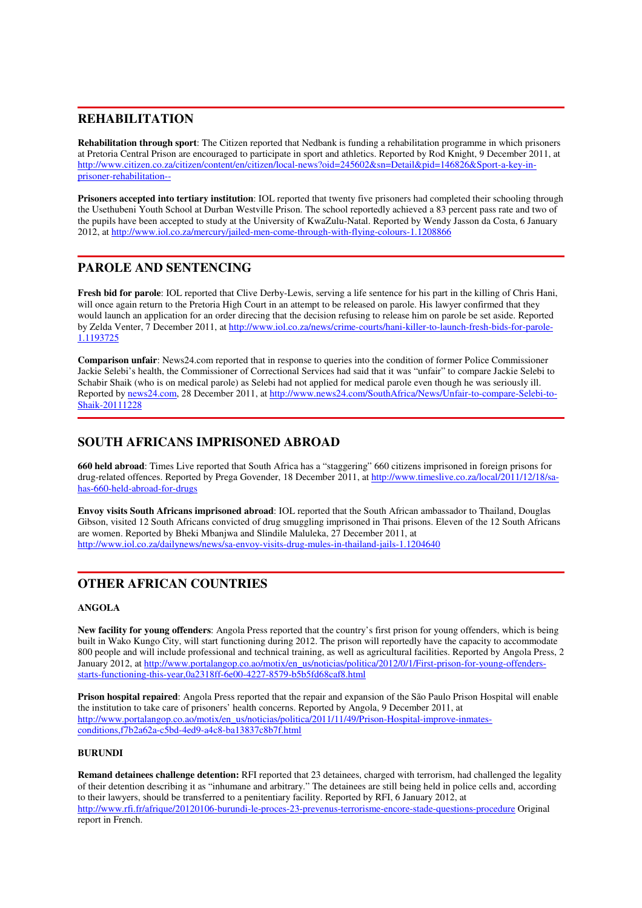# **REHABILITATION**

**Rehabilitation through sport**: The Citizen reported that Nedbank is funding a rehabilitation programme in which prisoners at Pretoria Central Prison are encouraged to participate in sport and athletics. Reported by Rod Knight, 9 December 2011, at http://www.citizen.co.za/citizen/content/en/citizen/local-news?oid=245602&sn=Detail&pid=146826&Sport-a-key-inprisoner-rehabilitation--

**Prisoners accepted into tertiary institution**: IOL reported that twenty five prisoners had completed their schooling through the Usethubeni Youth School at Durban Westville Prison. The school reportedly achieved a 83 percent pass rate and two of the pupils have been accepted to study at the University of KwaZulu-Natal. Reported by Wendy Jasson da Costa, 6 January 2012, at http://www.iol.co.za/mercury/jailed-men-come-through-with-flying-colours-1.1208866

# **PAROLE AND SENTENCING**

**Fresh bid for parole**: IOL reported that Clive Derby-Lewis, serving a life sentence for his part in the killing of Chris Hani, will once again return to the Pretoria High Court in an attempt to be released on parole. His lawyer confirmed that they would launch an application for an order direcing that the decision refusing to release him on parole be set aside. Reported by Zelda Venter, 7 December 2011, at http://www.iol.co.za/news/crime-courts/hani-killer-to-launch-fresh-bids-for-parole-1.1193725

**Comparison unfair**: News24.com reported that in response to queries into the condition of former Police Commissioner Jackie Selebi's health, the Commissioner of Correctional Services had said that it was "unfair" to compare Jackie Selebi to Schabir Shaik (who is on medical parole) as Selebi had not applied for medical parole even though he was seriously ill. Reported by news24.com, 28 December 2011, at http://www.news24.com/SouthAfrica/News/Unfair-to-compare-Selebi-to-Shaik-20111228

# **SOUTH AFRICANS IMPRISONED ABROAD**

**660 held abroad**: Times Live reported that South Africa has a "staggering" 660 citizens imprisoned in foreign prisons for drug-related offences. Reported by Prega Govender, 18 December 2011, at http://www.timeslive.co.za/local/2011/12/18/sahas-660-held-abroad-for-drugs

**Envoy visits South Africans imprisoned abroad**: IOL reported that the South African ambassador to Thailand, Douglas Gibson, visited 12 South Africans convicted of drug smuggling imprisoned in Thai prisons. Eleven of the 12 South Africans are women. Reported by Bheki Mbanjwa and Slindile Maluleka, 27 December 2011, at http://www.iol.co.za/dailynews/news/sa-envoy-visits-drug-mules-in-thailand-jails-1.1204640

# **OTHER AFRICAN COUNTRIES**

# **ANGOLA**

**New facility for young offenders**: Angola Press reported that the country's first prison for young offenders, which is being built in Wako Kungo City, will start functioning during 2012. The prison will reportedly have the capacity to accommodate 800 people and will include professional and technical training, as well as agricultural facilities. Reported by Angola Press, 2 January 2012, at http://www.portalangop.co.ao/motix/en\_us/noticias/politica/2012/0/1/First-prison-for-young-offendersstarts-functioning-this-year,0a2318ff-6e00-4227-8579-b5b5fd68caf8.html

**Prison hospital repaired**: Angola Press reported that the repair and expansion of the São Paulo Prison Hospital will enable the institution to take care of prisoners' health concerns. Reported by Angola, 9 December 2011, at http://www.portalangop.co.ao/motix/en\_us/noticias/politica/2011/11/49/Prison-Hospital-improve-inmatesconditions,f7b2a62a-c5bd-4ed9-a4c8-ba13837c8b7f.html

## **BURUNDI**

**Remand detainees challenge detention:** RFI reported that 23 detainees, charged with terrorism, had challenged the legality of their detention describing it as "inhumane and arbitrary." The detainees are still being held in police cells and, according to their lawyers, should be transferred to a penitentiary facility. Reported by RFI, 6 January 2012, at http://www.rfi.fr/afrique/20120106-burundi-le-proces-23-prevenus-terrorisme-encore-stade-questions-procedure Original report in French.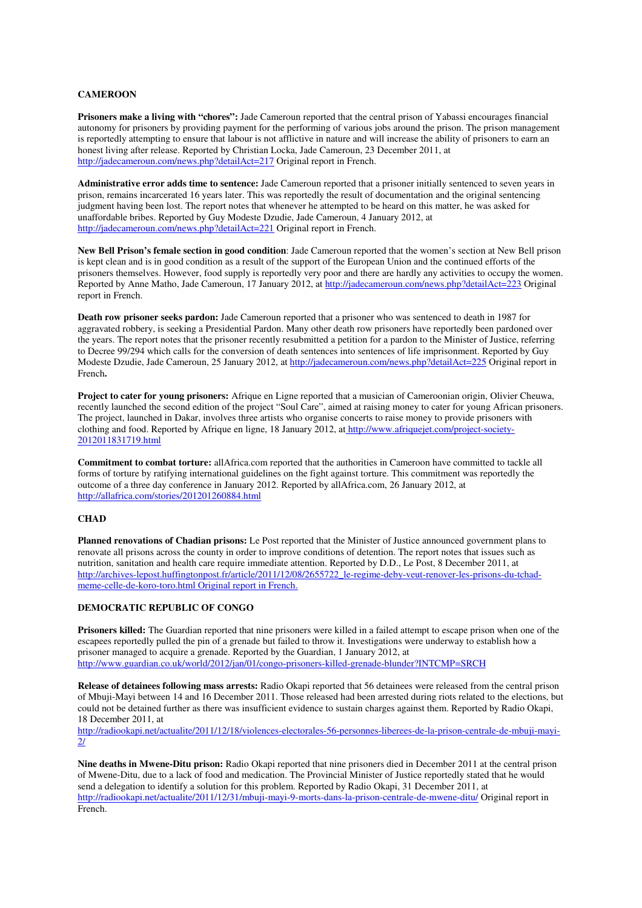## **CAMEROON**

**Prisoners make a living with "chores":** Jade Cameroun reported that the central prison of Yabassi encourages financial autonomy for prisoners by providing payment for the performing of various jobs around the prison. The prison management is reportedly attempting to ensure that labour is not afflictive in nature and will increase the ability of prisoners to earn an honest living after release. Reported by Christian Locka, Jade Cameroun, 23 December 2011, at http://jadecameroun.com/news.php?detailAct=217 Original report in French.

**Administrative error adds time to sentence:** Jade Cameroun reported that a prisoner initially sentenced to seven years in prison, remains incarcerated 16 years later. This was reportedly the result of documentation and the original sentencing judgment having been lost. The report notes that whenever he attempted to be heard on this matter, he was asked for unaffordable bribes. Reported by Guy Modeste Dzudie, Jade Cameroun, 4 January 2012, at http://jadecameroun.com/news.php?detailAct=221 Original report in French.

**New Bell Prison's female section in good condition**: Jade Cameroun reported that the women's section at New Bell prison is kept clean and is in good condition as a result of the support of the European Union and the continued efforts of the prisoners themselves. However, food supply is reportedly very poor and there are hardly any activities to occupy the women. Reported by Anne Matho, Jade Cameroun, 17 January 2012, at http://jadecameroun.com/news.php?detailAct=223 Original report in French.

**Death row prisoner seeks pardon:** Jade Cameroun reported that a prisoner who was sentenced to death in 1987 for aggravated robbery, is seeking a Presidential Pardon. Many other death row prisoners have reportedly been pardoned over the years. The report notes that the prisoner recently resubmitted a petition for a pardon to the Minister of Justice, referring to Decree 99/294 which calls for the conversion of death sentences into sentences of life imprisonment. Reported by Guy Modeste Dzudie, Jade Cameroun, 25 January 2012, at http://jadecameroun.com/news.php?detailAct=225 Original report in French**.** 

**Project to cater for young prisoners:** Afrique en Ligne reported that a musician of Cameroonian origin, Olivier Cheuwa, recently launched the second edition of the project "Soul Care", aimed at raising money to cater for young African prisoners. The project, launched in Dakar, involves three artists who organise concerts to raise money to provide prisoners with clothing and food. Reported by Afrique en ligne, 18 January 2012, at http://www.afriquejet.com/project-society-2012011831719.html

**Commitment to combat torture:** allAfrica.com reported that the authorities in Cameroon have committed to tackle all forms of torture by ratifying international guidelines on the fight against torture. This commitment was reportedly the outcome of a three day conference in January 2012. Reported by allAfrica.com, 26 January 2012, at http://allafrica.com/stories/201201260884.html

### **CHAD**

**Planned renovations of Chadian prisons:** Le Post reported that the Minister of Justice announced government plans to renovate all prisons across the county in order to improve conditions of detention. The report notes that issues such as nutrition, sanitation and health care require immediate attention. Reported by D.D., Le Post, 8 December 2011, at http://archives-lepost.huffingtonpost.fr/article/2011/12/08/2655722\_le-regime-deby-veut-renover-les-prisons-du-tchadmeme-celle-de-koro-toro.html Original report in French.

## **DEMOCRATIC REPUBLIC OF CONGO**

**Prisoners killed:** The Guardian reported that nine prisoners were killed in a failed attempt to escape prison when one of the escapees reportedly pulled the pin of a grenade but failed to throw it. Investigations were underway to establish how a prisoner managed to acquire a grenade. Reported by the Guardian, 1 January 2012, at http://www.guardian.co.uk/world/2012/jan/01/congo-prisoners-killed-grenade-blunder?INTCMP=SRCH

**Release of detainees following mass arrests:** Radio Okapi reported that 56 detainees were released from the central prison of Mbuji-Mayi between 14 and 16 December 2011. Those released had been arrested during riots related to the elections, but could not be detained further as there was insufficient evidence to sustain charges against them. Reported by Radio Okapi, 18 December 2011, at

http://radiookapi.net/actualite/2011/12/18/violences-electorales-56-personnes-liberees-de-la-prison-centrale-de-mbuji-mayi-2/

**Nine deaths in Mwene-Ditu prison:** Radio Okapi reported that nine prisoners died in December 2011 at the central prison of Mwene-Ditu, due to a lack of food and medication. The Provincial Minister of Justice reportedly stated that he would send a delegation to identify a solution for this problem. Reported by Radio Okapi, 31 December 2011, at http://radiookapi.net/actualite/2011/12/31/mbuji-mayi-9-morts-dans-la-prison-centrale-de-mwene-ditu/ Original report in French.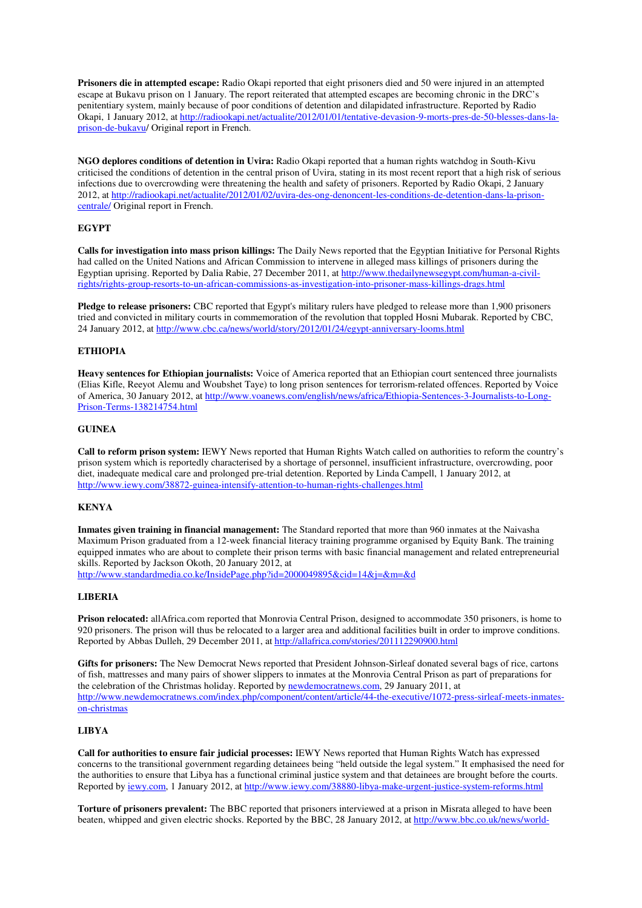**Prisoners die in attempted escape:** Radio Okapi reported that eight prisoners died and 50 were injured in an attempted escape at Bukavu prison on 1 January. The report reiterated that attempted escapes are becoming chronic in the DRC's penitentiary system, mainly because of poor conditions of detention and dilapidated infrastructure. Reported by Radio Okapi, 1 January 2012, at http://radiookapi.net/actualite/2012/01/01/tentative-devasion-9-morts-pres-de-50-blesses-dans-laprison-de-bukavu/ Original report in French.

**NGO deplores conditions of detention in Uvira:** Radio Okapi reported that a human rights watchdog in South-Kivu criticised the conditions of detention in the central prison of Uvira, stating in its most recent report that a high risk of serious infections due to overcrowding were threatening the health and safety of prisoners. Reported by Radio Okapi, 2 January 2012, at http://radiookapi.net/actualite/2012/01/02/uvira-des-ong-denoncent-les-conditions-de-detention-dans-la-prisoncentrale/ Original report in French.

## **EGYPT**

**Calls for investigation into mass prison killings:** The Daily News reported that the Egyptian Initiative for Personal Rights had called on the United Nations and African Commission to intervene in alleged mass killings of prisoners during the Egyptian uprising. Reported by Dalia Rabie, 27 December 2011, at http://www.thedailynewsegypt.com/human-a-civilrights/rights-group-resorts-to-un-african-commissions-as-investigation-into-prisoner-mass-killings-drags.html

**Pledge to release prisoners:** CBC reported that Egypt's military rulers have pledged to release more than 1,900 prisoners tried and convicted in military courts in commemoration of the revolution that toppled Hosni Mubarak. Reported by CBC, 24 January 2012, at http://www.cbc.ca/news/world/story/2012/01/24/egypt-anniversary-looms.html

### **ETHIOPIA**

**Heavy sentences for Ethiopian journalists:** Voice of America reported that an Ethiopian court sentenced three journalists (Elias Kifle, Reeyot Alemu and Woubshet Taye) to long prison sentences for terrorism-related offences. Reported by Voice of America, 30 January 2012, at http://www.voanews.com/english/news/africa/Ethiopia-Sentences-3-Journalists-to-Long-Prison-Terms-138214754.html

#### **GUINEA**

**Call to reform prison system:** IEWY News reported that Human Rights Watch called on authorities to reform the country's prison system which is reportedly characterised by a shortage of personnel, insufficient infrastructure, overcrowding, poor diet, inadequate medical care and prolonged pre-trial detention. Reported by Linda Campell, 1 January 2012, at http://www.iewy.com/38872-guinea-intensify-attention-to-human-rights-challenges.html

#### **KENYA**

**Inmates given training in financial management:** The Standard reported that more than 960 inmates at the Naivasha Maximum Prison graduated from a 12-week financial literacy training programme organised by Equity Bank. The training equipped inmates who are about to complete their prison terms with basic financial management and related entrepreneurial skills. Reported by Jackson Okoth, 20 January 2012, at http://www.standardmedia.co.ke/InsidePage.php?id=2000049895&cid=14&j=&m=&d

#### **LIBERIA**

**Prison relocated:** allAfrica.com reported that Monrovia Central Prison, designed to accommodate 350 prisoners, is home to 920 prisoners. The prison will thus be relocated to a larger area and additional facilities built in order to improve conditions. Reported by Abbas Dulleh, 29 December 2011, at http://allafrica.com/stories/201112290900.html

**Gifts for prisoners:** The New Democrat News reported that President Johnson-Sirleaf donated several bags of rice, cartons of fish, mattresses and many pairs of shower slippers to inmates at the Monrovia Central Prison as part of preparations for the celebration of the Christmas holiday. Reported by **newdemocratnews.com**, 29 January 2011, at http://www.newdemocratnews.com/index.php/component/content/article/44-the-executive/1072-press-sirleaf-meets-inmateson-christmas

#### **LIBYA**

**Call for authorities to ensure fair judicial processes:** IEWY News reported that Human Rights Watch has expressed concerns to the transitional government regarding detainees being "held outside the legal system." It emphasised the need for the authorities to ensure that Libya has a functional criminal justice system and that detainees are brought before the courts. Reported by iewy.com, 1 January 2012, at http://www.iewy.com/38880-libya-make-urgent-justice-system-reforms.html

**Torture of prisoners prevalent:** The BBC reported that prisoners interviewed at a prison in Misrata alleged to have been beaten, whipped and given electric shocks. Reported by the BBC, 28 January 2012, at http://www.bbc.co.uk/news/world-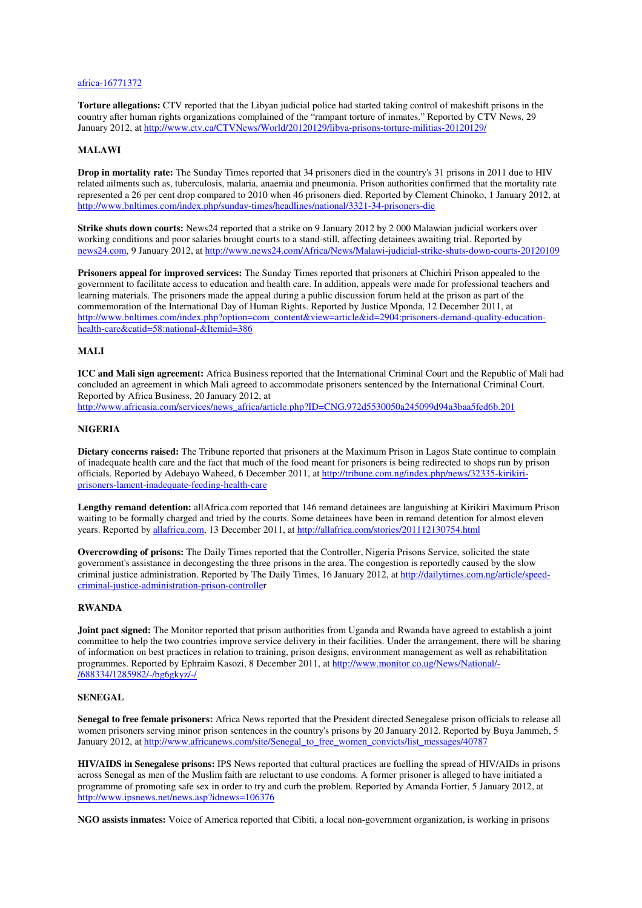#### africa-16771372

**Torture allegations:** CTV reported that the Libyan judicial police had started taking control of makeshift prisons in the country after human rights organizations complained of the "rampant torture of inmates." Reported by CTV News, 29 January 2012, at http://www.ctv.ca/CTVNews/World/20120129/libya-prisons-torture-militias-20120129/

#### **MALAWI**

**Drop in mortality rate:** The Sunday Times reported that 34 prisoners died in the country's 31 prisons in 2011 due to HIV related ailments such as, tuberculosis, malaria, anaemia and pneumonia. Prison authorities confirmed that the mortality rate represented a 26 per cent drop compared to 2010 when 46 prisoners died. Reported by Clement Chinoko, 1 January 2012, at http://www.bnltimes.com/index.php/sunday-times/headlines/national/3321-34-prisoners-die

**Strike shuts down courts:** News24 reported that a strike on 9 January 2012 by 2 000 Malawian judicial workers over working conditions and poor salaries brought courts to a stand-still, affecting detainees awaiting trial. Reported by news24.com, 9 January 2012, at http://www.news24.com/Africa/News/Malawi-judicial-strike-shuts-down-courts-20120109

**Prisoners appeal for improved services:** The Sunday Times reported that prisoners at Chichiri Prison appealed to the government to facilitate access to education and health care. In addition, appeals were made for professional teachers and learning materials. The prisoners made the appeal during a public discussion forum held at the prison as part of the commemoration of the International Day of Human Rights. Reported by Justice Mponda, 12 December 2011, at http://www.bnltimes.com/index.php?option=com\_content&view=article&id=2904:prisoners-demand-quality-educationhealth-care&catid=58:national-&Itemid=386

#### **MALI**

**ICC and Mali sign agreement:** Africa Business reported that the International Criminal Court and the Republic of Mali had concluded an agreement in which Mali agreed to accommodate prisoners sentenced by the International Criminal Court. Reported by Africa Business, 20 January 2012, at

http://www.africasia.com/services/news\_africa/article.php?ID=CNG.972d5530050a245099d94a3baa5fed6b.201

## **NIGERIA**

**Dietary concerns raised:** The Tribune reported that prisoners at the Maximum Prison in Lagos State continue to complain of inadequate health care and the fact that much of the food meant for prisoners is being redirected to shops run by prison officials. Reported by Adebayo Waheed, 6 December 2011, at http://tribune.com.ng/index.php/news/32335-kirikiriprisoners-lament-inadequate-feeding-health-care

**Lengthy remand detention:** allAfrica.com reported that 146 remand detainees are languishing at Kirikiri Maximum Prison waiting to be formally charged and tried by the courts. Some detainees have been in remand detention for almost eleven years. Reported by allafrica.com, 13 December 2011, at http://allafrica.com/stories/201112130754.html

**Overcrowding of prisons:** The Daily Times reported that the Controller, Nigeria Prisons Service, solicited the state government's assistance in decongesting the three prisons in the area. The congestion is reportedly caused by the slow criminal justice administration. Reported by The Daily Times, 16 January 2012, at http://dailytimes.com.ng/article/speedcriminal-justice-administration-prison-controller

# **RWANDA**

**Joint pact signed:** The Monitor reported that prison authorities from Uganda and Rwanda have agreed to establish a joint committee to help the two countries improve service delivery in their facilities. Under the arrangement, there will be sharing of information on best practices in relation to training, prison designs, environment management as well as rehabilitation programmes. Reported by Ephraim Kasozi, 8 December 2011, at http://www.monitor.co.ug/News/National/-/688334/1285982/-/bg6gkyz/-/

### **SENEGAL**

**Senegal to free female prisoners:** Africa News reported that the President directed Senegalese prison officials to release all women prisoners serving minor prison sentences in the country's prisons by 20 January 2012. Reported by Buya Jammeh, 5 January 2012, at http://www.africanews.com/site/Senegal\_to\_free\_women\_convicts/list\_messages/40787

**HIV/AIDS in Senegalese prisons:** IPS News reported that cultural practices are fuelling the spread of HIV/AIDs in prisons across Senegal as men of the Muslim faith are reluctant to use condoms. A former prisoner is alleged to have initiated a programme of promoting safe sex in order to try and curb the problem. Reported by Amanda Fortier, 5 January 2012, at http://www.ipsnews.net/news.asp?idnews=106376

**NGO assists inmates:** Voice of America reported that Cibiti, a local non-government organization, is working in prisons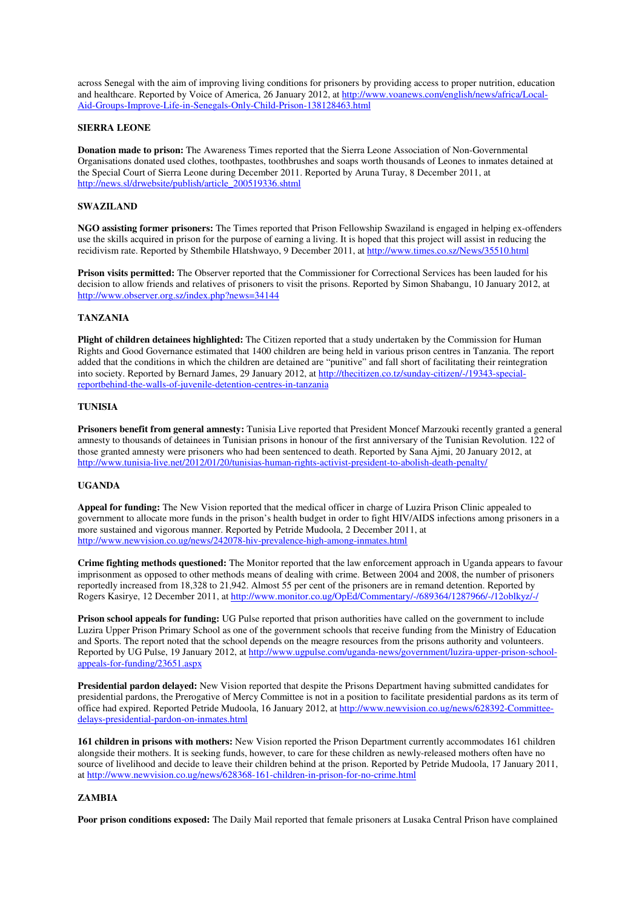across Senegal with the aim of improving living conditions for prisoners by providing access to proper nutrition, education and healthcare. Reported by Voice of America, 26 January 2012, at http://www.voanews.com/english/news/africa/Local-Aid-Groups-Improve-Life-in-Senegals-Only-Child-Prison-138128463.html

## **SIERRA LEONE**

**Donation made to prison:** The Awareness Times reported that the Sierra Leone Association of Non-Governmental Organisations donated used clothes, toothpastes, toothbrushes and soaps worth thousands of Leones to inmates detained at the Special Court of Sierra Leone during December 2011. Reported by Aruna Turay, 8 December 2011, at http://news.sl/drwebsite/publish/article\_200519336.shtml

#### **SWAZILAND**

**NGO assisting former prisoners:** The Times reported that Prison Fellowship Swaziland is engaged in helping ex-offenders use the skills acquired in prison for the purpose of earning a living. It is hoped that this project will assist in reducing the recidivism rate. Reported by Sthembile Hlatshwayo, 9 December 2011, at http://www.times.co.sz/News/35510.html

**Prison visits permitted:** The Observer reported that the Commissioner for Correctional Services has been lauded for his decision to allow friends and relatives of prisoners to visit the prisons. Reported by Simon Shabangu, 10 January 2012, at http://www.observer.org.sz/index.php?news=34144

### **TANZANIA**

**Plight of children detainees highlighted:** The Citizen reported that a study undertaken by the Commission for Human Rights and Good Governance estimated that 1400 children are being held in various prison centres in Tanzania. The report added that the conditions in which the children are detained are "punitive" and fall short of facilitating their reintegration into society. Reported by Bernard James, 29 January 2012, at http://thecitizen.co.tz/sunday-citizen/-/19343-specialreportbehind-the-walls-of-juvenile-detention-centres-in-tanzania

### **TUNISIA**

**Prisoners benefit from general amnesty:** Tunisia Live reported that President Moncef Marzouki recently granted a general amnesty to thousands of detainees in Tunisian prisons in honour of the first anniversary of the Tunisian Revolution. 122 of those granted amnesty were prisoners who had been sentenced to death. Reported by Sana Ajmi, 20 January 2012, at http://www.tunisia-live.net/2012/01/20/tunisias-human-rights-activist-president-to-abolish-death-penalty/

### **UGANDA**

**Appeal for funding:** The New Vision reported that the medical officer in charge of Luzira Prison Clinic appealed to government to allocate more funds in the prison's health budget in order to fight HIV/AIDS infections among prisoners in a more sustained and vigorous manner. Reported by Petride Mudoola, 2 December 2011, at http://www.newvision.co.ug/news/242078-hiv-prevalence-high-among-inmates.html

**Crime fighting methods questioned:** The Monitor reported that the law enforcement approach in Uganda appears to favour imprisonment as opposed to other methods means of dealing with crime. Between 2004 and 2008, the number of prisoners reportedly increased from 18,328 to 21,942. Almost 55 per cent of the prisoners are in remand detention. Reported by Rogers Kasirye, 12 December 2011, at http://www.monitor.co.ug/OpEd/Commentary/-/689364/1287966/-/12oblkyz/-/

**Prison school appeals for funding:** UG Pulse reported that prison authorities have called on the government to include Luzira Upper Prison Primary School as one of the government schools that receive funding from the Ministry of Education and Sports. The report noted that the school depends on the meagre resources from the prisons authority and volunteers. Reported by UG Pulse, 19 January 2012, at http://www.ugpulse.com/uganda-news/government/luzira-upper-prison-schoolappeals-for-funding/23651.aspx

**Presidential pardon delayed:** New Vision reported that despite the Prisons Department having submitted candidates for presidential pardons, the Prerogative of Mercy Committee is not in a position to facilitate presidential pardons as its term of office had expired. Reported Petride Mudoola, 16 January 2012, at http://www.newvision.co.ug/news/628392-Committeedelays-presidential-pardon-on-inmates.html

**161 children in prisons with mothers:** New Vision reported the Prison Department currently accommodates 161 children alongside their mothers. It is seeking funds, however, to care for these children as newly-released mothers often have no source of livelihood and decide to leave their children behind at the prison. Reported by Petride Mudoola, 17 January 2011, at http://www.newvision.co.ug/news/628368-161-children-in-prison-for-no-crime.html

## **ZAMBIA**

**Poor prison conditions exposed:** The Daily Mail reported that female prisoners at Lusaka Central Prison have complained